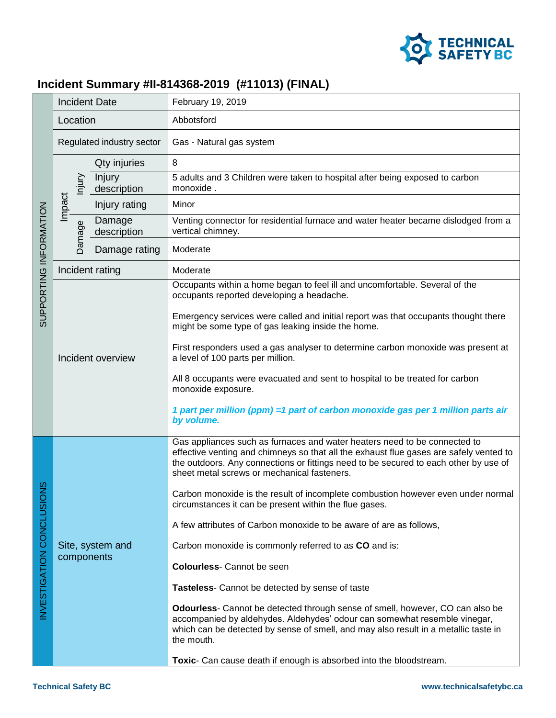

## **Incident Summary #II-814368-2019 (#11013) (FINAL)**

| SUPPORTING INFORMATION | <b>Incident Date</b>           |                       | February 19, 2019                                                                                                                                                                                                                                                                                          |
|------------------------|--------------------------------|-----------------------|------------------------------------------------------------------------------------------------------------------------------------------------------------------------------------------------------------------------------------------------------------------------------------------------------------|
|                        | Location                       |                       | Abbotsford                                                                                                                                                                                                                                                                                                 |
|                        | Regulated industry sector      |                       | Gas - Natural gas system                                                                                                                                                                                                                                                                                   |
|                        | hjury                          | Qty injuries          | 8                                                                                                                                                                                                                                                                                                          |
|                        |                                | Injury<br>description | 5 adults and 3 Children were taken to hospital after being exposed to carbon<br>monoxide.                                                                                                                                                                                                                  |
|                        | Impact                         | Injury rating         | Minor                                                                                                                                                                                                                                                                                                      |
|                        | Damage                         | Damage<br>description | Venting connector for residential furnace and water heater became dislodged from a<br>vertical chimney.                                                                                                                                                                                                    |
|                        |                                | Damage rating         | Moderate                                                                                                                                                                                                                                                                                                   |
|                        | Incident rating                |                       | Moderate                                                                                                                                                                                                                                                                                                   |
|                        | Incident overview              |                       | Occupants within a home began to feel ill and uncomfortable. Several of the<br>occupants reported developing a headache.                                                                                                                                                                                   |
|                        |                                |                       | Emergency services were called and initial report was that occupants thought there<br>might be some type of gas leaking inside the home.                                                                                                                                                                   |
|                        |                                |                       | First responders used a gas analyser to determine carbon monoxide was present at<br>a level of 100 parts per million.                                                                                                                                                                                      |
|                        |                                |                       | All 8 occupants were evacuated and sent to hospital to be treated for carbon<br>monoxide exposure.                                                                                                                                                                                                         |
|                        |                                |                       | 1 part per million (ppm) = 1 part of carbon monoxide gas per 1 million parts air<br>by volume.                                                                                                                                                                                                             |
| ğN                     | Site, system and<br>components |                       | Gas appliances such as furnaces and water heaters need to be connected to<br>effective venting and chimneys so that all the exhaust flue gases are safely vented to<br>the outdoors. Any connections or fittings need to be secured to each other by use of<br>sheet metal screws or mechanical fasteners. |
|                        |                                |                       | Carbon monoxide is the result of incomplete combustion however even under normal<br>circumstances it can be present within the flue gases.                                                                                                                                                                 |
|                        |                                |                       | A few attributes of Carbon monoxide to be aware of are as follows,                                                                                                                                                                                                                                         |
|                        |                                |                       | Carbon monoxide is commonly referred to as CO and is:                                                                                                                                                                                                                                                      |
|                        |                                |                       | <b>Colourless-</b> Cannot be seen                                                                                                                                                                                                                                                                          |
| NVESTIGATION CONCLUSIO |                                |                       | Tasteless- Cannot be detected by sense of taste                                                                                                                                                                                                                                                            |
|                        |                                |                       | Odourless- Cannot be detected through sense of smell, however, CO can also be<br>accompanied by aldehydes. Aldehydes' odour can somewhat resemble vinegar,<br>which can be detected by sense of smell, and may also result in a metallic taste in<br>the mouth.                                            |
|                        |                                |                       | Toxic- Can cause death if enough is absorbed into the bloodstream.                                                                                                                                                                                                                                         |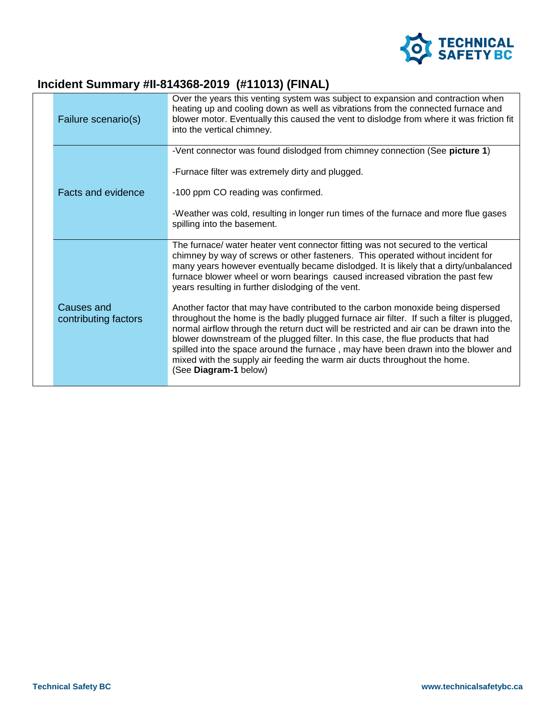

## **Incident Summary #II-814368-2019 (#11013) (FINAL)**

| Failure scenario(s)                | Over the years this venting system was subject to expansion and contraction when<br>heating up and cooling down as well as vibrations from the connected furnace and<br>blower motor. Eventually this caused the vent to dislodge from where it was friction fit<br>into the vertical chimney.                                                                                                                                                                                                                                                           |
|------------------------------------|----------------------------------------------------------------------------------------------------------------------------------------------------------------------------------------------------------------------------------------------------------------------------------------------------------------------------------------------------------------------------------------------------------------------------------------------------------------------------------------------------------------------------------------------------------|
|                                    | -Vent connector was found dislodged from chimney connection (See picture 1)<br>-Furnace filter was extremely dirty and plugged.                                                                                                                                                                                                                                                                                                                                                                                                                          |
| <b>Facts and evidence</b>          | -100 ppm CO reading was confirmed.<br>-Weather was cold, resulting in longer run times of the furnace and more flue gases                                                                                                                                                                                                                                                                                                                                                                                                                                |
|                                    | spilling into the basement.                                                                                                                                                                                                                                                                                                                                                                                                                                                                                                                              |
|                                    | The furnace/ water heater vent connector fitting was not secured to the vertical<br>chimney by way of screws or other fasteners. This operated without incident for<br>many years however eventually became dislodged. It is likely that a dirty/unbalanced<br>furnace blower wheel or worn bearings caused increased vibration the past few<br>years resulting in further dislodging of the vent.                                                                                                                                                       |
| Causes and<br>contributing factors | Another factor that may have contributed to the carbon monoxide being dispersed<br>throughout the home is the badly plugged furnace air filter. If such a filter is plugged,<br>normal airflow through the return duct will be restricted and air can be drawn into the<br>blower downstream of the plugged filter. In this case, the flue products that had<br>spilled into the space around the furnace, may have been drawn into the blower and<br>mixed with the supply air feeding the warm air ducts throughout the home.<br>(See Diagram-1 below) |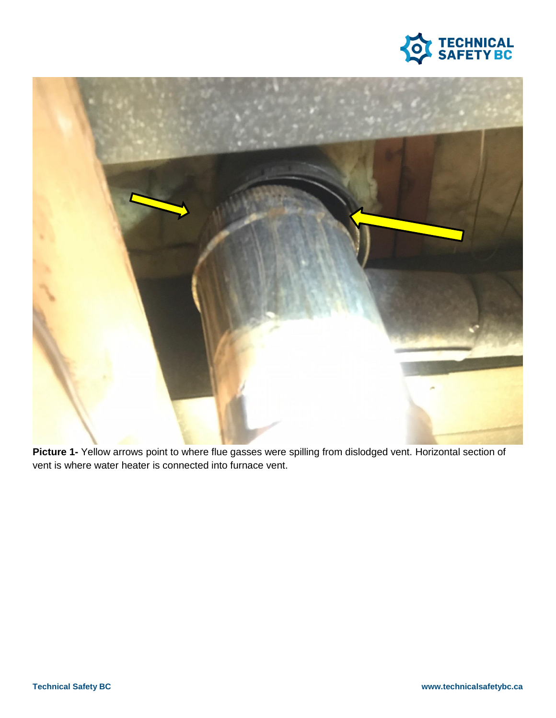



**Picture 1-** Yellow arrows point to where flue gasses were spilling from dislodged vent. Horizontal section of vent is where water heater is connected into furnace vent.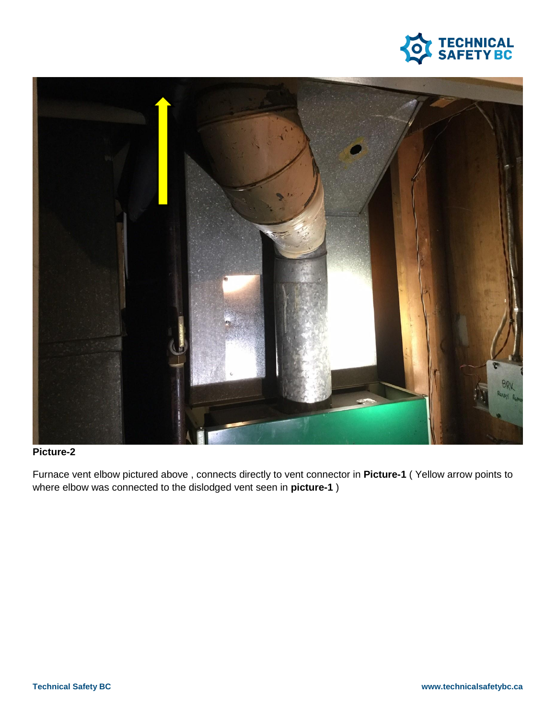



## **Picture-2**

Furnace vent elbow pictured above , connects directly to vent connector in **Picture-1** ( Yellow arrow points to where elbow was connected to the dislodged vent seen in **picture-1** )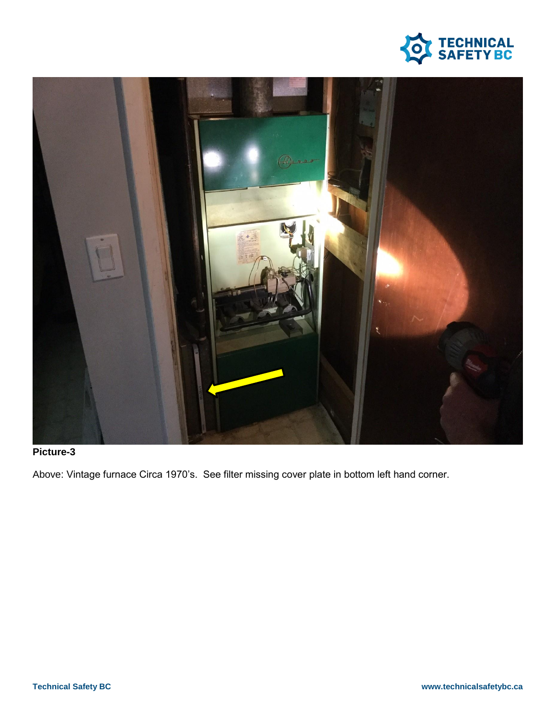



## **Picture-3**

Above: Vintage furnace Circa 1970's. See filter missing cover plate in bottom left hand corner.